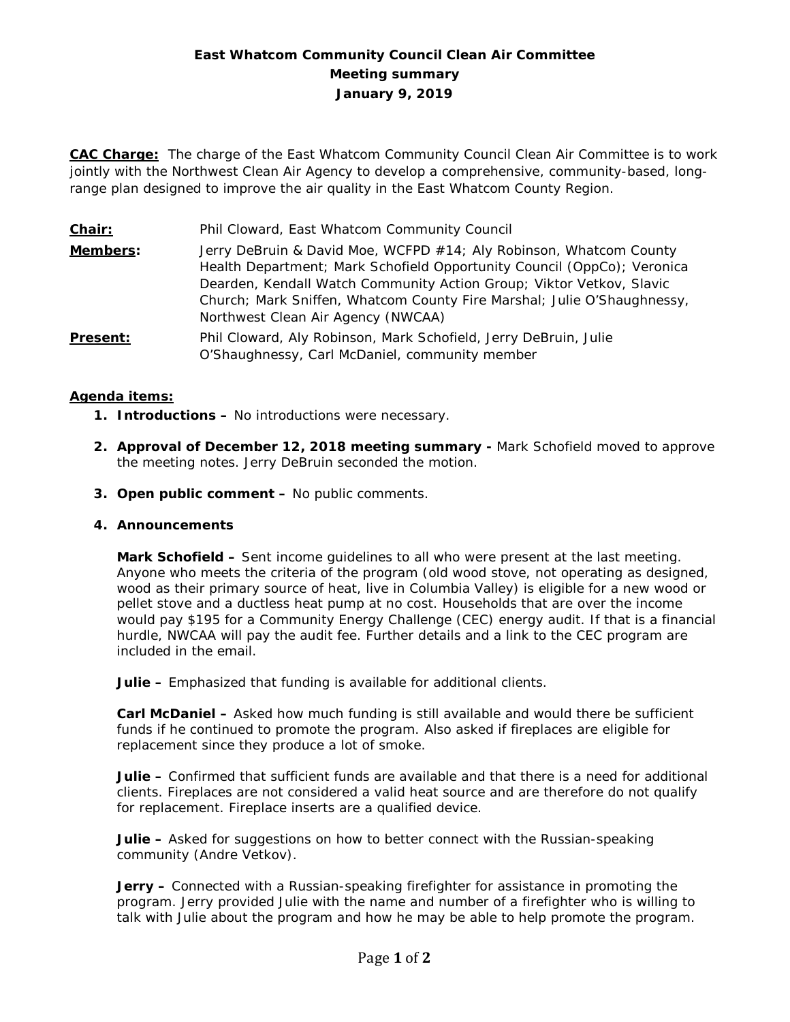# **East Whatcom Community Council Clean Air Committee Meeting summary January 9, 2019**

**CAC Charge:** The charge of the East Whatcom Community Council Clean Air Committee is to work jointly with the Northwest Clean Air Agency to develop a comprehensive, community-based, longrange plan designed to improve the air quality in the East Whatcom County Region.

| Chair:          | Phil Cloward, East Whatcom Community Council                                                                                                                                                                                                                                                                                           |
|-----------------|----------------------------------------------------------------------------------------------------------------------------------------------------------------------------------------------------------------------------------------------------------------------------------------------------------------------------------------|
| Members:        | Jerry DeBruin & David Moe, WCFPD #14; Aly Robinson, Whatcom County<br>Health Department; Mark Schofield Opportunity Council (OppCo); Veronica<br>Dearden, Kendall Watch Community Action Group; Viktor Vetkov, Slavic<br>Church; Mark Sniffen, Whatcom County Fire Marshal; Julie O'Shaughnessy,<br>Northwest Clean Air Agency (NWCAA) |
| <b>Present:</b> | Phil Cloward, Aly Robinson, Mark Schofield, Jerry DeBruin, Julie<br>O'Shaughnessy, Carl McDaniel, community member                                                                                                                                                                                                                     |

## **Agenda items:**

- **1. Introductions –** No introductions were necessary.
- **2. Approval of December 12, 2018 meeting summary -** Mark Schofield moved to approve the meeting notes. Jerry DeBruin seconded the motion.
- **3. Open public comment –** No public comments.

#### **4. Announcements**

**Mark Schofield –** Sent income guidelines to all who were present at the last meeting. Anyone who meets the criteria of the program (old wood stove, not operating as designed, wood as their primary source of heat, live in Columbia Valley) is eligible for a new wood or pellet stove and a ductless heat pump at no cost. Households that are over the income would pay \$195 for a Community Energy Challenge (CEC) energy audit. If that is a financial hurdle, NWCAA will pay the audit fee. Further details and a link to the CEC program are included in the email.

**Julie –** Emphasized that funding is available for additional clients.

**Carl McDaniel –** Asked how much funding is still available and would there be sufficient funds if he continued to promote the program. Also asked if fireplaces are eligible for replacement since they produce a lot of smoke.

**Julie –** Confirmed that sufficient funds are available and that there is a need for additional clients. Fireplaces are not considered a valid heat source and are therefore do not qualify for replacement. Fireplace *inserts* are a qualified device.

**Julie –** Asked for suggestions on how to better connect with the Russian-speaking community (Andre Vetkov).

**Jerry –** Connected with a Russian-speaking firefighter for assistance in promoting the program. Jerry provided Julie with the name and number of a firefighter who is willing to talk with Julie about the program and how he may be able to help promote the program.